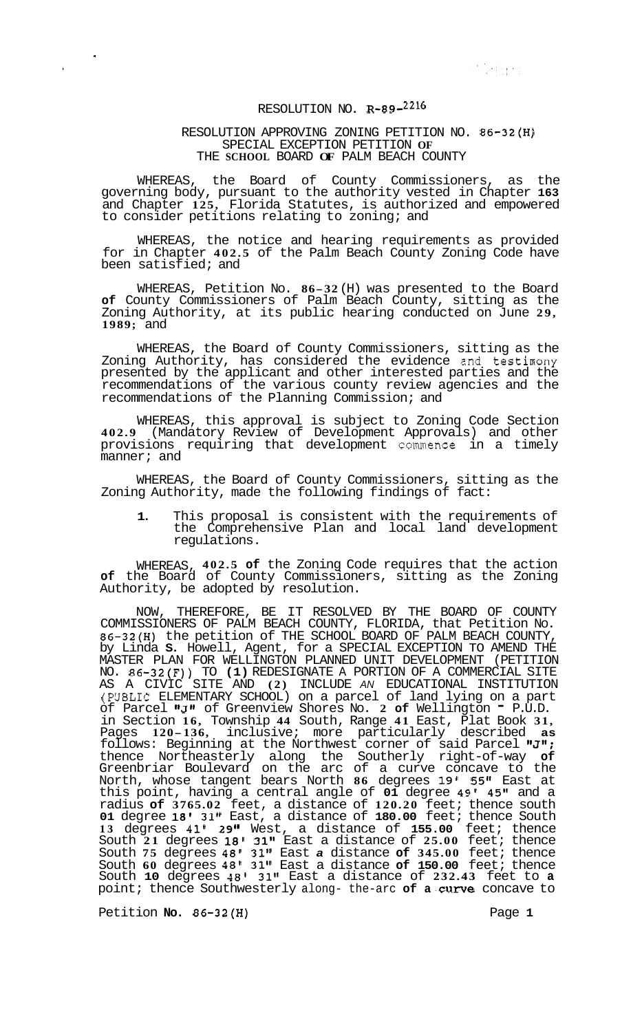Skimar

## RESOLUTION NO. **R-89-2216**

## RESOLUTION APPROVING ZONING PETITION NO. **86-32(H)**  SPECIAL EXCEPTION PETITION **OF**  THE **SCHOOL** BOARD **OF** PALM BEACH COUNTY

WHEREAS, the Board of County Commissioners, as the governing body, pursuant to the authority vested in Chapter **163**  and Chapter **125,** Florida Statutes, is authorized and empowered to consider petitions relating to zoning; and

WHEREAS, the notice and hearing requirements as provided for in Chapter **402.5** of the Palm Beach County Zoning Code have been satisfied; and

WHEREAS, Petition No. **86-32** (H) was presented to the Board **of** County Commissioners of Palm Beach County, sitting as the Zoning Authority, at its public hearing conducted on June **29, 1989;** and

WHEREAS, the Board of County Commissioners, sitting as the Zoning Authority, has considered the evidence and testimony presented by the applicant and other interested parties and the recommendations of the various county review agencies and the recommendations of the Planning Commission; and

WHEREAS, this approval is subject to Zoning Code Section **402.9** (Mandatory Review of Development Approvals) and other provisions requiring that development commence in a timely manner; and

WHEREAS, the Board of County Commissioners, sitting as the Zoning Authority, made the following findings of fact:

**1.** This proposal is consistent with the requirements of the Comprehensive Plan and local land development regulations.

WHEREAS, **402.5 of** the Zoning Code requires that the action **of** the Board of County Commissioners, sitting as the Zoning Authority, be adopted by resolution.

NOW, THEREFORE, BE IT RESOLVED BY THE BOARD OF COUNTY COMMISSIONERS OF PALM BEACH COUNTY, FLORIDA, that Petition No. **86-32(H)** the petition of THE SCHOOL BOARD OF PALM BEACH COUNTY, by Linda **S.** Howell, Agent, for a SPECIAL EXCEPTION TO AMEND THE MASTER PLAN FOR WELLINGTON PLANNED UNIT DEVELOPMENT (PETITION NO. **86-32(F))** TO **(1)** REDESIGNATE A PORTION OF A COMMERCIAL SITE AS A CIVIC SITE AND **(2)** INCLUDE *AN* EDUCATIONAL INSTITUTION (PUBLIC ELEMENTARY SCHOOL) on a parcel of land lying on a part of Parcel **I8Jt1** of Greenview Shores No. **2 of** Wellington - P.U.D. in Section **16,** Township **44** South, Range **41** East, Plat Book **31,**  Pages **120-136,** inclusive; more particularly described **as**  follows: Beginning at the Northwest corner of said Parcel **IrJ";**  thence Northeasterly along the Southerly right-of-way **of**  Greenbriar Boulevard on the arc of a curve concave to the North, whose tangent bears North **86** degrees **19' 55"** East at this point, having a central angle of **01** degree **49' 45"** and a radius **of 3765.02** feet, a distance of **120.20** feet; thence south **01** degree **18' 31"** East, a distance of **180.00** feet; thence South **13** degrees **41' 29"** West, a distance of **155.00** feet; thence South **21** degrees **18' 31"** East a distance of **25.00** feet; thence South **75** degrees **48' 31"** East *a* distance **of 345.00** feet; thence South **60** degrees **48' 31"** East a distance **of 150.00** feet; thence South **10** degrees **48' 31"** East a distance of **232.43** feet to **a**  point; thence Southwesterly along- the-arc of a curve concave to

Petition **No. 86-32(H)** Page **1**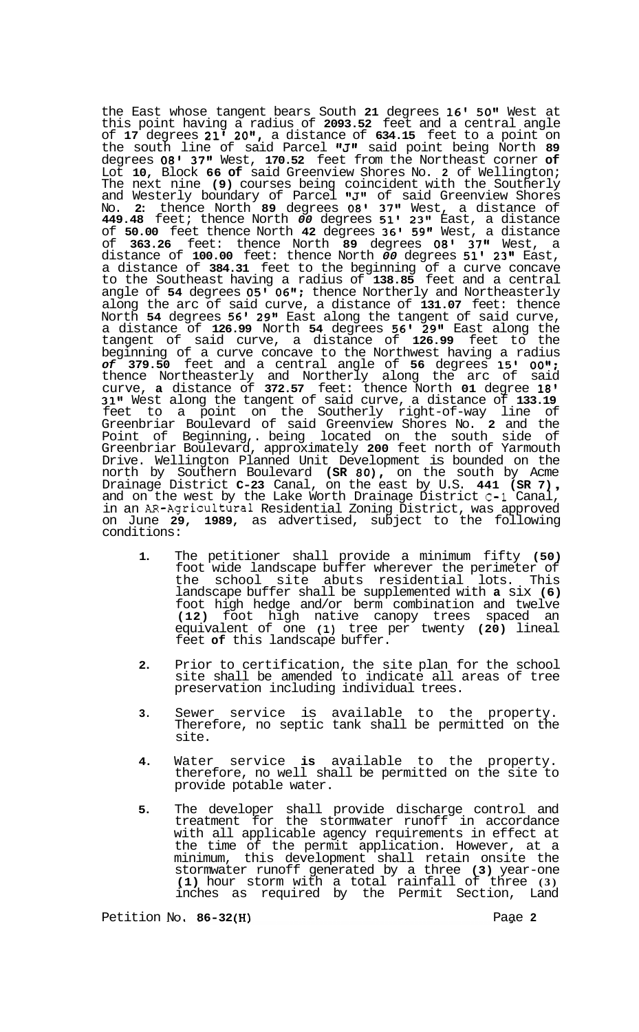the East whose tangent bears South **21** degrees **16'** *50"* West at this point having a radius of **2093.52** feet and a central angle of **17** degrees **21' 20",** a distance of **634.15** feet to a point on the south line of said Parcel "J" said point being North 89 degrees **08' 37"** West, **170.52** feet from the Northeast corner **of**  Lot **10,** Block **66 of** said Greenview Shores No. **2** of Wellington; The next nine **(9)** courses being coincident with the Southerly and Westerly boundary of Parcel "J" of said Greenview Shores No. **2:** thence North **89** degrees **08' 37"** West, a distance of **449.48** feet; thence North *00* degrees **51' 23"** East, a distance of **50.00** feet thence North **42** degrees **36' 59"** West, a distance of **363.26** feet: thence North **89** degrees **08' 37"** West, a distance of **100.00** feet: thence North *00* degrees **51' 23"** East, a distance of **384.31** feet to the beginning of a curve concave to the Southeast having a radius of **138.85** feet and a central angle of **54** degrees *05'* **06":** thence Northerly and Northeasterly along the arc of said curve, a distance of **131.07** feet: thence North **54** degrees **56' 29"** East along the tangent of said curve, a distance of **126.99** North **54** degrees **56' 29"** East along the tangent of said curve, a distance of **126.99** feet to the beginning of a curve concave to the Northwest having a radius *of* **379.50** feet and a central angle of **56** degrees **15' OOtl:**  thence Northeasterly and Northerly along the arc of said curve, **a** distance of **372.57** feet: thence North **01** degree **18' 31"** West along the tangent of said curve, a distance of **133.19**  feet to a point on the Southerly right-of-way line of Greenbriar Boulevard of said Greenview Shores No. **2** and the Point of Beginning,. being located on the south side of Greenbriar Boulevard, approximately **200** feet north of Yarmouth Drive. Wellington Planned Unit Development is bounded on the north by Southern Boulevard **(SR 80),** on the south by Acme Drainage District **C-23** Canal, on the east by U.S. **441 (SR 7)** , and on the west by the Lake Worth Drainage District **C-1** Canal, and on the west by the Lake Worth Drainage District C-1 Canal, in an AR-Agricultural Residential Zoning District, was approved on June **29, 1989,** as advertised, subject to the following conditions:

- **1.**  The petitioner shall provide a minimum fifty **(50)**  foot wide landscape buffer wherever the perimeter of the school site abuts residential lots. This landscape buffer shall be supplemented with **a** six **(6)**  foot high hedge and/or berm combination and twelve **(12)** foot high native canopy trees spaced an equivalent of one **(1)** tree per twenty **(20)** lineal feet **of** this landscape buffer.
- **2.**  Prior to certification, the site plan for the school site shall be amended to indicate all areas of tree preservation including individual trees.
- **3.**  Sewer service is available to the property. Therefore, no septic tank shall be permitted on the site.
- **4.**  Water service **is** available to the property. therefore, no well shall be permitted on the site to provide potable water.
- **5.**  The developer shall provide discharge control and treatment for the stormwater runoff in accordance with all applicable agency requirements in effect at the time of the permit application. However, at a minimum, this development shall retain onsite the stormwater runoff generated by a three **(3)** year-one **(1)** hour storm with a total rainfall of three **(3)**  inches as required by the Permit Section, Land

Petition No. **86-32(H) Page 2 Page 2**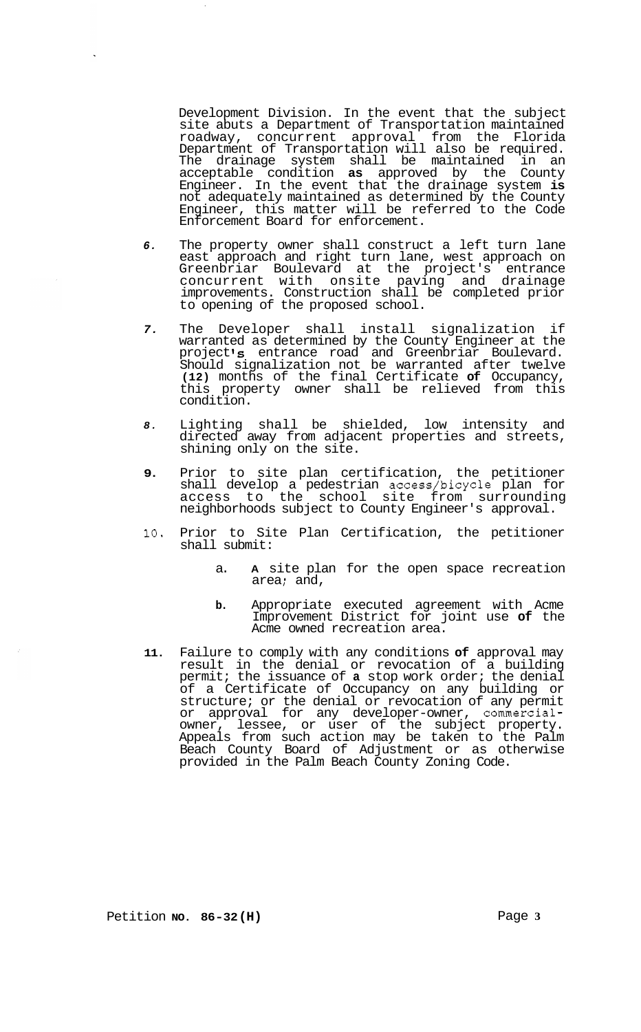Development Division. In the event that the subject site abuts a Department of Transportation maintained roadway, concurrent approval from the Florida Department of Transportation will also be required. The drainage system shall be maintained in an acceptable condition **as** approved by the County Engineer. In the event that the drainage system **is**  not adequately maintained as determined by the County Engineer, this matter will be referred to the Code Enforcement Board for enforcement.

- *6.* The property owner shall construct a left turn lane east approach and right turn lane, west approach on Greenbriar Boulevard at the project's entrance concurrent with onsite paving and drainage improvements. Construction shall be completed prior to opening of the proposed school.
- *7.* The Developer shall install signalization if warranted as determined by the County Engineer at the project **Is** entrance road and Greenbriar Boulevard. Should signalization not be warranted after twelve **(12)** months of the final Certificate **of** Occupancy, this property owner shall be relieved from this condition.
- *8.* Lighting shall be shielded, low intensity and directed away from adjacent properties and streets, shining only on the site.
- **9.** Prior to site plan certification, the petitioner shall develop a pedestrian access/bicycle plan for access to the school site from surrounding neighborhoods subject to County Engineer's approval.
- **10.** Prior to Site Plan Certification, the petitioner shall submit:
	- a. **A** site plan for the open space recreation area; and,
	- **b.** Appropriate executed agreement with Acme Improvement District for joint use **of** the Acme owned recreation area.
- **11.** Failure to comply with any conditions **of** approval may result in the denial or revocation of a building permit; the issuance of **a** stop work order; the denial of a Certificate of Occupancy on any building or structure; or the denial or revocation of any permit or approval for any developer-owner, commercialowner, lessee, or user of the subject property. Appeals from such action may be taken to the Palm Beach County Board of Adjustment or as otherwise provided in the Palm Beach County Zoning Code.